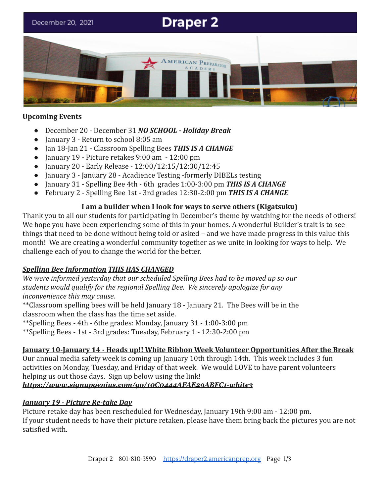# **Draper 2** December 20, 2021 ERICAN PREPARATORY

## **Upcoming Events**

- December 20 December 31 *NO SCHOOL Holiday Break*
- January 3 Return to school 8:05 am
- Jan 18-Jan 21 Classroom Spelling Bees *THIS IS A CHANGE*
- January 19 Picture retakes 9:00 am 12:00 pm
- January 20 Early Release 12:00/12:15/12:30/12:45
- January 3 January 28 Acadience Testing -formerly DIBELs testing
- January 31 Spelling Bee 4th 6th grades 1:00-3:00 pm *THIS IS A CHANGE*
- February 2 Spelling Bee 1st 3rd grades 12:30-2:00 pm *THIS IS A CHANGE*

## **I am a builder when I look for ways to serve others (Kigatsuku)**

Thank you to all our students for participating in December's theme by watching for the needs of others! We hope you have been experiencing some of this in your homes. A wonderful Builder's trait is to see things that need to be done without being told or asked – and we have made progress in this value this month! We are creating a wonderful community together as we unite in looking for ways to help. We challenge each of you to change the world for the better.

# *Spelling Bee Information THIS HAS CHANGED*

*We were informed yesterday that our scheduled Spelling Bees had to be moved up so our students would qualify for the regional Spelling Bee. We sincerely apologize for any inconvenience this may cause.*

\*\*Classroom spelling bees will be held January 18 - January 21. The Bees will be in the classroom when the class has the time set aside.

\*\*Spelling Bees - 4th - 6the grades: Monday, January 31 - 1:00-3:00 pm

\*\*Spelling Bees - 1st - 3rd grades: Tuesday, February 1 - 12:30-2:00 pm

# **January 10-January 14 - Heads up!! White Ribbon Week Volunteer Opportunities After the Break**

Our annual media safety week is coming up January 10th through 14th. This week includes 3 fun activities on Monday, Tuesday, and Friday of that week. We would LOVE to have parent volunteers helping us out those days. Sign up below using the link!

#### *<https://www.signupgenius.com/go/10C0444AFAE29ABFC1-white3>*

# *January 19 - Picture Re-take Day*

Picture retake day has been rescheduled for Wednesday, January 19th 9:00 am - 12:00 pm. If your student needs to have their picture retaken, please have them bring back the pictures you are not satisfied with.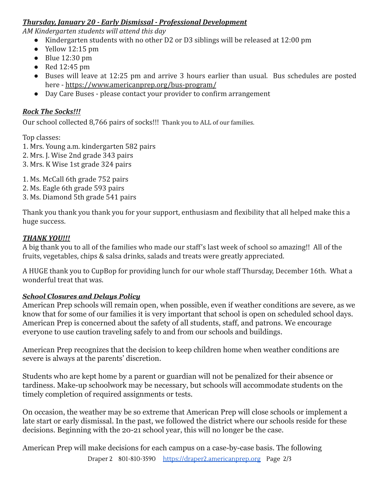# *Thursday, January 20 - Early Dismissal - Professional Development*

*AM Kindergarten students will attend this day*

- Kindergarten students with no other D2 or D3 siblings will be released at 12:00 pm
- $\bullet$  Yellow 12:15 pm
- $\bullet$  Blue 12:30 pm
- Red 12:45 pm
- Buses will leave at 12:25 pm and arrive 3 hours earlier than usual. Bus schedules are posted here - <https://www.americanprep.org/bus-program/>
- Day Care Buses please contact your provider to confirm arrangement

## *Rock The Socks!!!*

Our school collected 8,766 pairs of socks!!! Thank you to ALL of our families.

Top classes:

- 1. Mrs. Young a.m. kindergarten 582 pairs
- 2. Mrs. J. Wise 2nd grade 343 pairs
- 3. Mrs. K Wise 1st grade 324 pairs

1. Ms. McCall 6th grade 752 pairs

- 2. Ms. Eagle 6th grade 593 pairs
- 3. Ms. Diamond 5th grade 541 pairs

Thank you thank you thank you for your support, enthusiasm and flexibility that all helped make this a huge success.

## *THANK YOU!!!*

A big thank you to all of the families who made our staff's last week of school so amazing!! All of the fruits, vegetables, chips & salsa drinks, salads and treats were greatly appreciated.

A HUGE thank you to CupBop for providing lunch for our whole staff Thursday, December 16th. What a wonderful treat that was.

# *School Closures and Delays Policy*

American Prep schools will remain open, when possible, even if weather conditions are severe, as we know that for some of our families it is very important that school is open on scheduled school days. American Prep is concerned about the safety of all students, staff, and patrons. We encourage everyone to use caution traveling safely to and from our schools and buildings.

American Prep recognizes that the decision to keep children home when weather conditions are severe is always at the parents' discretion.

Students who are kept home by a parent or guardian will not be penalized for their absence or tardiness. Make-up schoolwork may be necessary, but schools will accommodate students on the timely completion of required assignments or tests.

On occasion, the weather may be so extreme that American Prep will close schools or implement a late start or early dismissal. In the past, we followed the district where our schools reside for these decisions. Beginning with the 20-21 school year, this will no longer be the case.

American Prep will make decisions for each campus on a case-by-case basis. The following